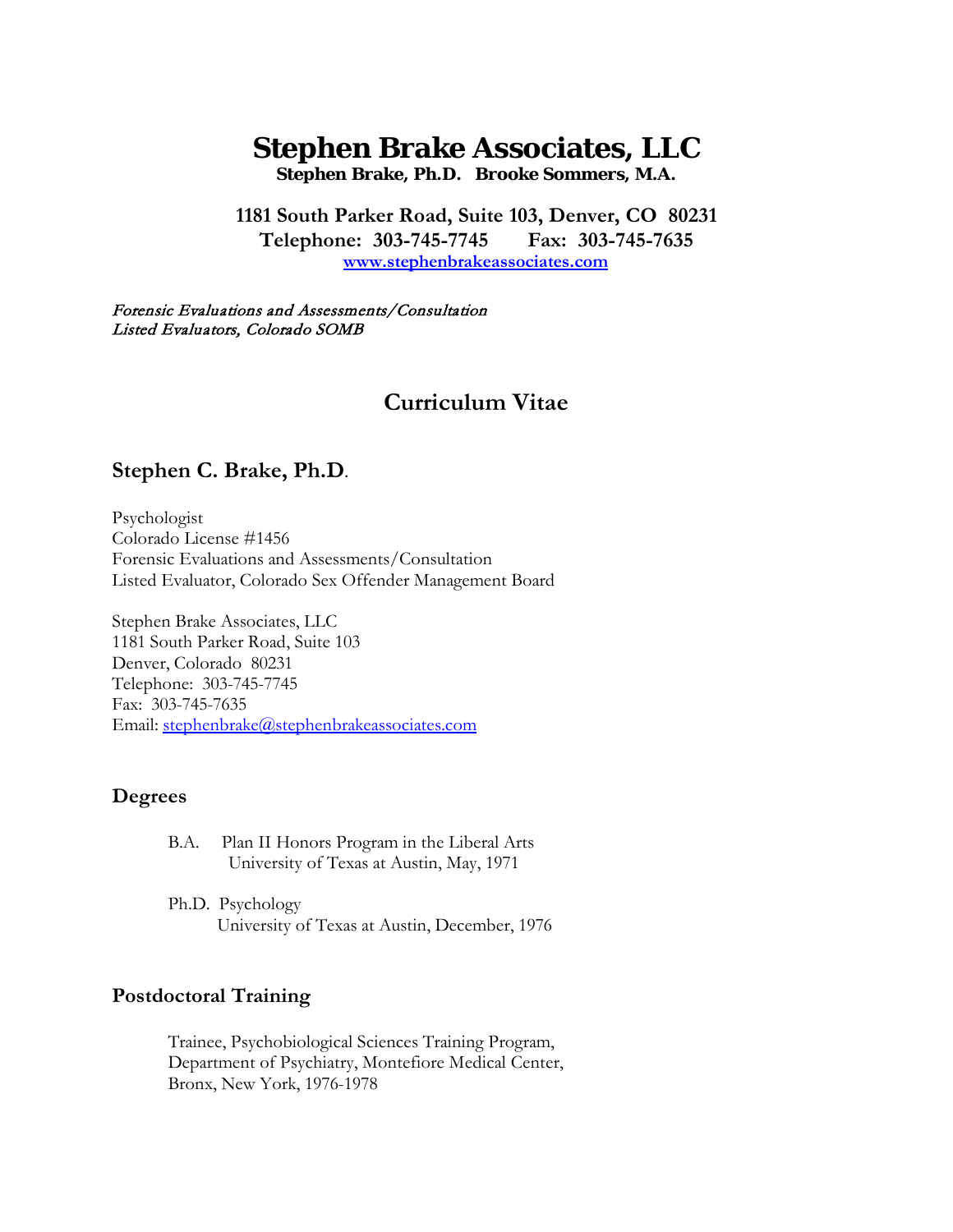# **Stephen Brake Associates, LLC**

**Stephen Brake, Ph.D. Brooke Sommers, M.A.**

**1181 South Parker Road, Suite 103, Denver, CO 80231 Telephone: 303-745-7745 Fax: 303-745-7635 www.stephenbrakeassociates.com**

Forensic Evaluations and Assessments/Consultation Listed Evaluators, Colorado SOMB

# **Curriculum Vitae**

# **Stephen C. Brake, Ph.D.**

Psychologist Colorado License #1456 Forensic Evaluations and Assessments/Consultation Listed Evaluator, Colorado Sex Offender Management Board

Stephen Brake Associates, LLC 1181 South Parker Road, Suite 103 Denver, Colorado 80231 Telephone: 303-745-7745 Fax: 303-745-7635 Email: [stephenbrake@stephenbrakeassociates.com](mailto:stephenbrake@mindspring.com)

## **Degrees**

- B.A. Plan II Honors Program in the Liberal Arts University of Texas at Austin, May, 1971
- Ph.D. Psychology University of Texas at Austin, December, 1976

# **Postdoctoral Training**

Trainee, Psychobiological Sciences Training Program, Department of Psychiatry, Montefiore Medical Center, Bronx, New York, 1976-1978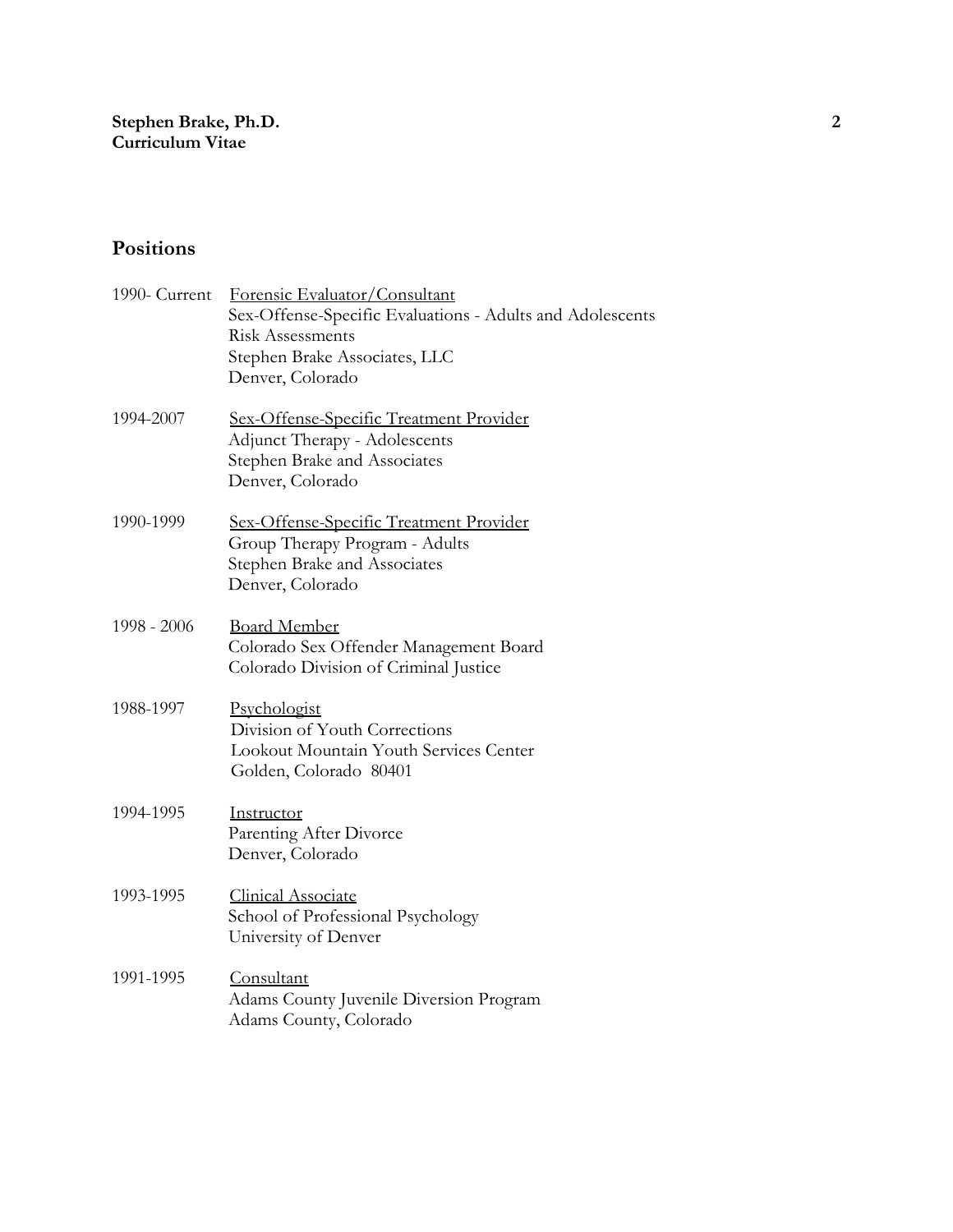# **Positions**

| 1990- Current | Forensic Evaluator/Consultant<br>Sex-Offense-Specific Evaluations - Adults and Adolescents<br><b>Risk Assessments</b><br>Stephen Brake Associates, LLC<br>Denver, Colorado |
|---------------|----------------------------------------------------------------------------------------------------------------------------------------------------------------------------|
| 1994-2007     | <u>Sex-Offense-Specific Treatment Provider</u><br>Adjunct Therapy - Adolescents<br>Stephen Brake and Associates<br>Denver, Colorado                                        |
| 1990-1999     | <u>Sex-Offense-Specific Treatment Provider</u><br>Group Therapy Program - Adults<br>Stephen Brake and Associates<br>Denver, Colorado                                       |
| 1998 - 2006   | <b>Board Member</b><br>Colorado Sex Offender Management Board<br>Colorado Division of Criminal Justice                                                                     |
| 1988-1997     | Psychologist<br>Division of Youth Corrections<br>Lookout Mountain Youth Services Center<br>Golden, Colorado 80401                                                          |
| 1994-1995     | Instructor<br>Parenting After Divorce<br>Denver, Colorado                                                                                                                  |
| 1993-1995     | <b>Clinical Associate</b><br>School of Professional Psychology<br>University of Denver                                                                                     |
| 1991-1995     | Consultant<br>Adams County Juvenile Diversion Program<br>Adams County, Colorado                                                                                            |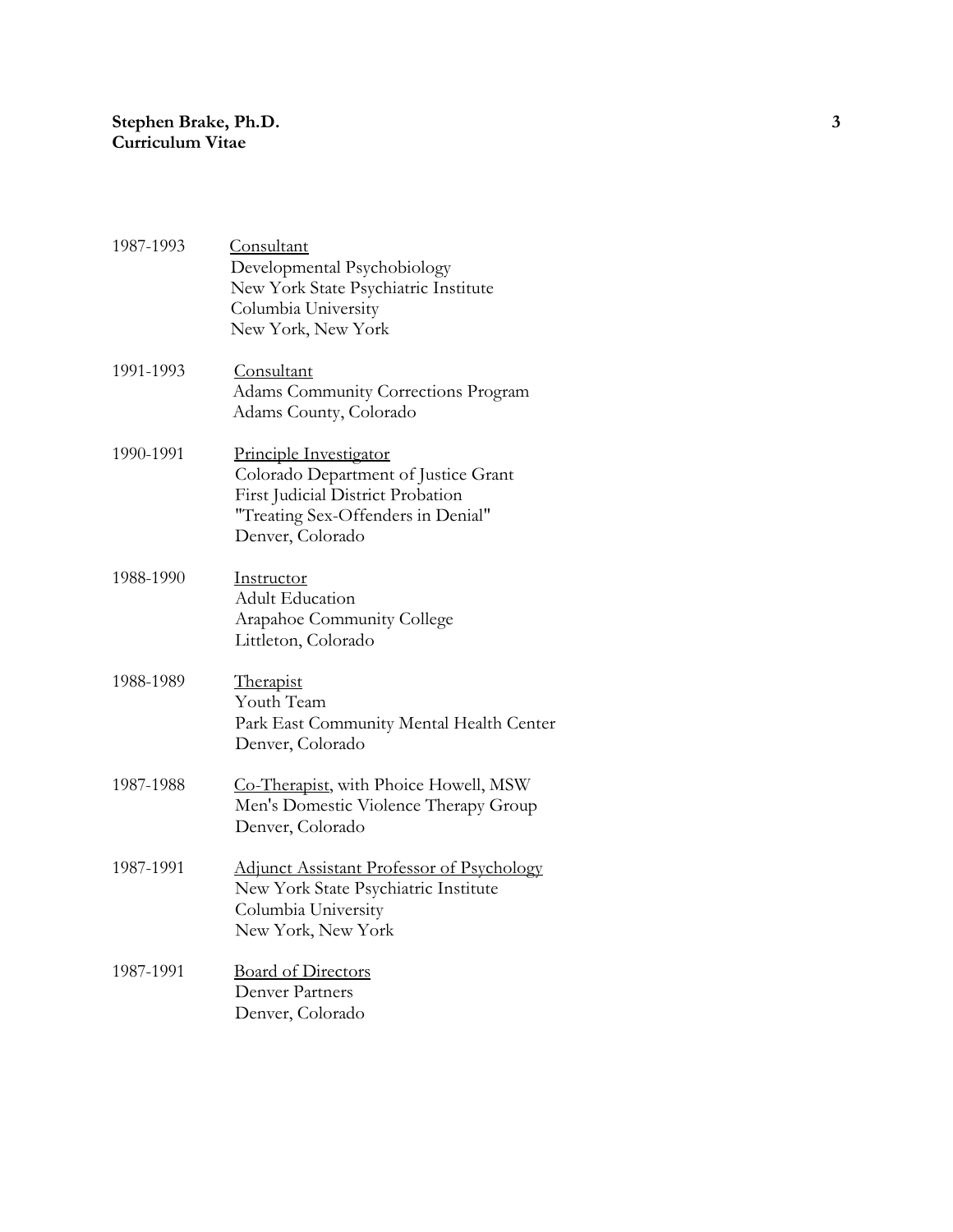| 1987-1993 | Consultant<br>Developmental Psychobiology<br>New York State Psychiatric Institute<br>Columbia University<br>New York, New York                                |
|-----------|---------------------------------------------------------------------------------------------------------------------------------------------------------------|
| 1991-1993 | Consultant<br><b>Adams Community Corrections Program</b><br>Adams County, Colorado                                                                            |
| 1990-1991 | Principle Investigator<br>Colorado Department of Justice Grant<br>First Judicial District Probation<br>"Treating Sex-Offenders in Denial"<br>Denver, Colorado |
| 1988-1990 | Instructor<br><b>Adult Education</b><br>Arapahoe Community College<br>Littleton, Colorado                                                                     |
| 1988-1989 | Therapist<br>Youth Team<br>Park East Community Mental Health Center<br>Denver, Colorado                                                                       |
| 1987-1988 | Co-Therapist, with Phoice Howell, MSW<br>Men's Domestic Violence Therapy Group<br>Denver, Colorado                                                            |
| 1987-1991 | <b>Adjunct Assistant Professor of Psychology</b><br>New York State Psychiatric Institute<br>Columbia University<br>New York, New York                         |
| 1987-1991 | <b>Board of Directors</b><br><b>Denver Partners</b><br>Denver, Colorado                                                                                       |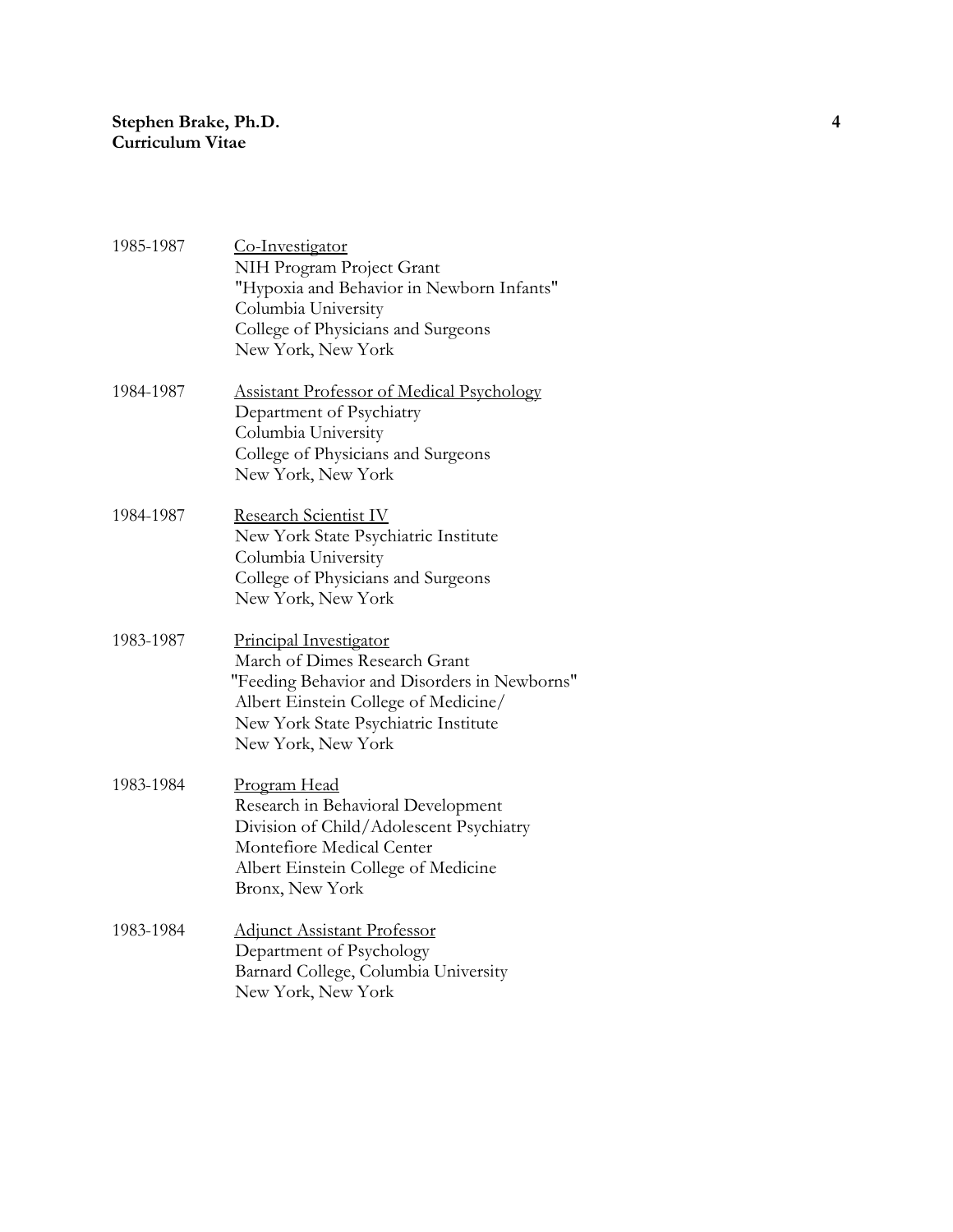| 1985-1987 | Co-Investigator<br>NIH Program Project Grant<br>"Hypoxia and Behavior in Newborn Infants"<br>Columbia University<br>College of Physicians and Surgeons<br>New York, New York                                  |
|-----------|---------------------------------------------------------------------------------------------------------------------------------------------------------------------------------------------------------------|
| 1984-1987 | <b>Assistant Professor of Medical Psychology</b><br>Department of Psychiatry<br>Columbia University<br>College of Physicians and Surgeons<br>New York, New York                                               |
| 1984-1987 | Research Scientist IV<br>New York State Psychiatric Institute<br>Columbia University<br>College of Physicians and Surgeons<br>New York, New York                                                              |
| 1983-1987 | Principal Investigator<br>March of Dimes Research Grant<br>"Feeding Behavior and Disorders in Newborns"<br>Albert Einstein College of Medicine/<br>New York State Psychiatric Institute<br>New York, New York |
| 1983-1984 | Program Head<br>Research in Behavioral Development<br>Division of Child/Adolescent Psychiatry<br>Montefiore Medical Center<br>Albert Einstein College of Medicine<br>Bronx, New York                          |
| 1983-1984 | <b>Adjunct Assistant Professor</b><br>Department of Psychology<br>Barnard College, Columbia University<br>New York, New York                                                                                  |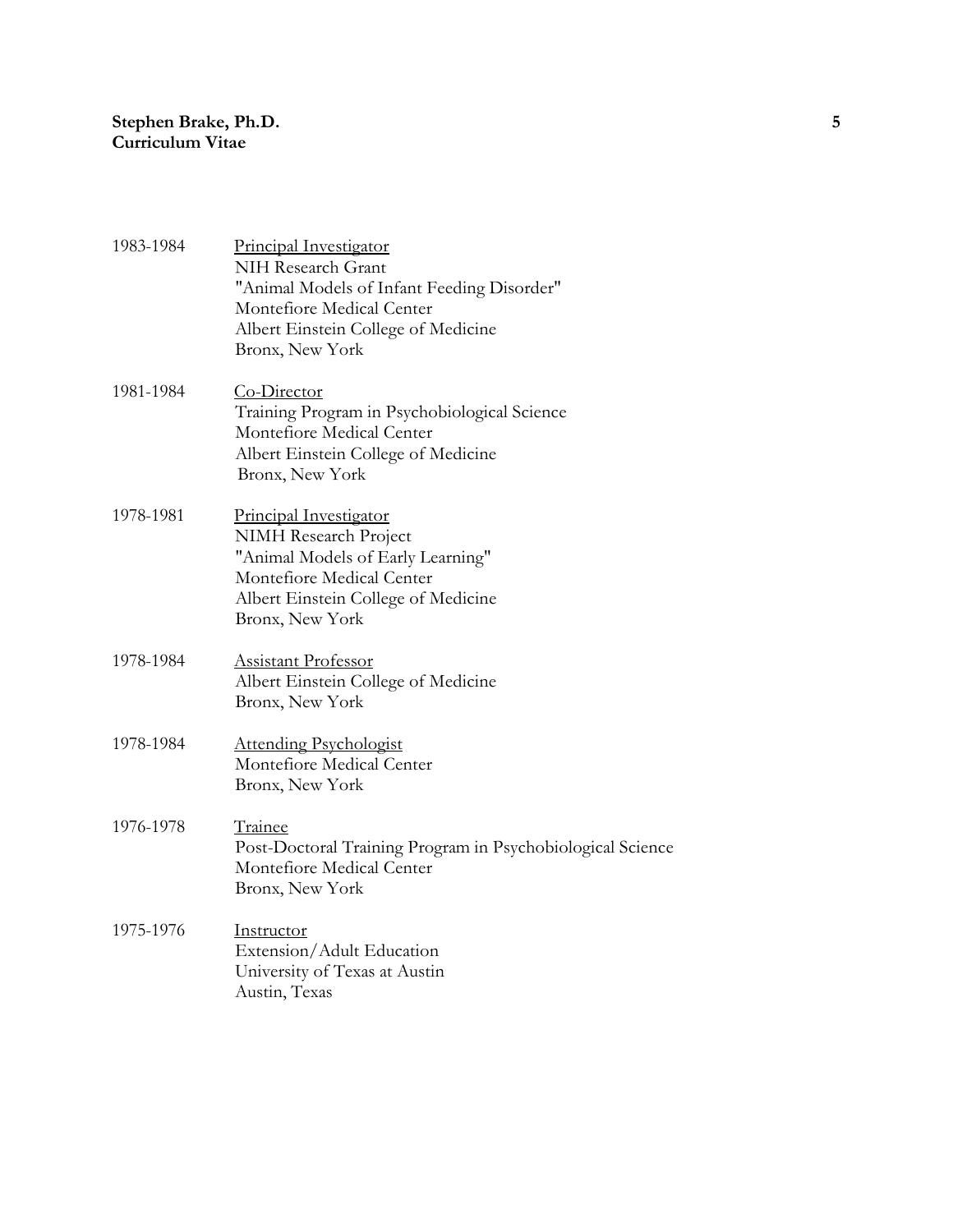| 1983-1984 | Principal Investigator<br>NIH Research Grant<br>"Animal Models of Infant Feeding Disorder"<br>Montefiore Medical Center<br>Albert Einstein College of Medicine<br>Bronx, New York  |
|-----------|------------------------------------------------------------------------------------------------------------------------------------------------------------------------------------|
| 1981-1984 | Co-Director<br>Training Program in Psychobiological Science<br>Montefiore Medical Center<br>Albert Einstein College of Medicine<br>Bronx, New York                                 |
| 1978-1981 | <b>Principal Investigator</b><br>NIMH Research Project<br>"Animal Models of Early Learning"<br>Montefiore Medical Center<br>Albert Einstein College of Medicine<br>Bronx, New York |
| 1978-1984 | <b>Assistant Professor</b><br>Albert Einstein College of Medicine<br>Bronx, New York                                                                                               |
| 1978-1984 | <b>Attending Psychologist</b><br>Montefiore Medical Center<br>Bronx, New York                                                                                                      |
| 1976-1978 | <b>Trainee</b><br>Post-Doctoral Training Program in Psychobiological Science<br>Montefiore Medical Center<br>Bronx, New York                                                       |
| 1975-1976 | <b>Instructor</b><br>Extension/Adult Education<br>University of Texas at Austin<br>Austin, Texas                                                                                   |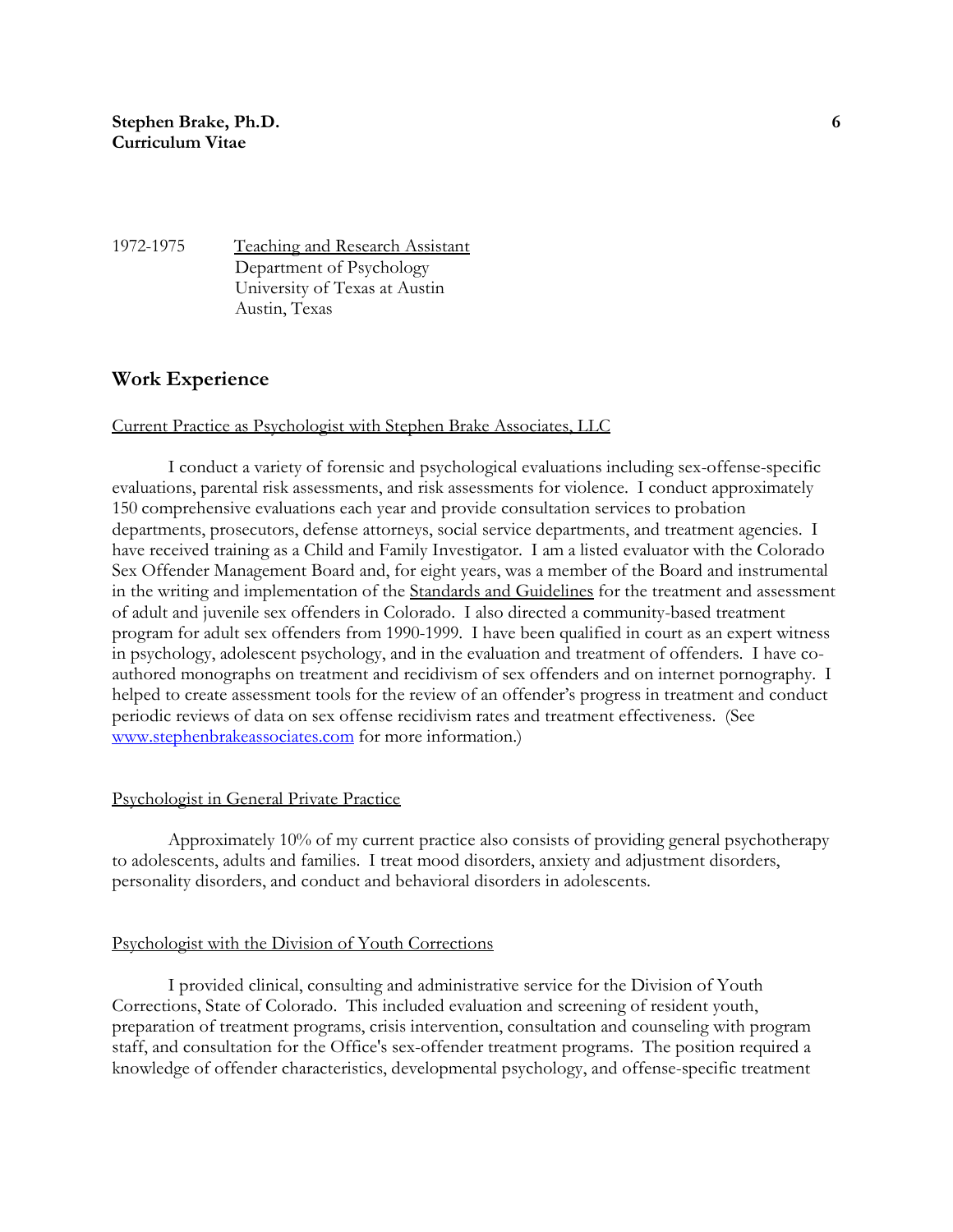1972-1975 Teaching and Research Assistant Department of Psychology University of Texas at Austin Austin, Texas

## **Work Experience**

#### Current Practice as Psychologist with Stephen Brake Associates, LLC

I conduct a variety of forensic and psychological evaluations including sex-offense-specific evaluations, parental risk assessments, and risk assessments for violence. I conduct approximately 150 comprehensive evaluations each year and provide consultation services to probation departments, prosecutors, defense attorneys, social service departments, and treatment agencies. I have received training as a Child and Family Investigator. I am a listed evaluator with the Colorado Sex Offender Management Board and, for eight years, was a member of the Board and instrumental in the writing and implementation of the Standards and Guidelines for the treatment and assessment of adult and juvenile sex offenders in Colorado. I also directed a community-based treatment program for adult sex offenders from 1990-1999. I have been qualified in court as an expert witness in psychology, adolescent psychology, and in the evaluation and treatment of offenders. I have coauthored monographs on treatment and recidivism of sex offenders and on internet pornography. I helped to create assessment tools for the review of an offender's progress in treatment and conduct periodic reviews of data on sex offense recidivism rates and treatment effectiveness. (See [www.stephenbrakeassociates.com](http://www.stephenbrakeassociates.com/) for more information.)

#### Psychologist in General Private Practice

Approximately 10% of my current practice also consists of providing general psychotherapy to adolescents, adults and families. I treat mood disorders, anxiety and adjustment disorders, personality disorders, and conduct and behavioral disorders in adolescents.

#### Psychologist with the Division of Youth Corrections

I provided clinical, consulting and administrative service for the Division of Youth Corrections, State of Colorado. This included evaluation and screening of resident youth, preparation of treatment programs, crisis intervention, consultation and counseling with program staff, and consultation for the Office's sex-offender treatment programs. The position required a knowledge of offender characteristics, developmental psychology, and offense-specific treatment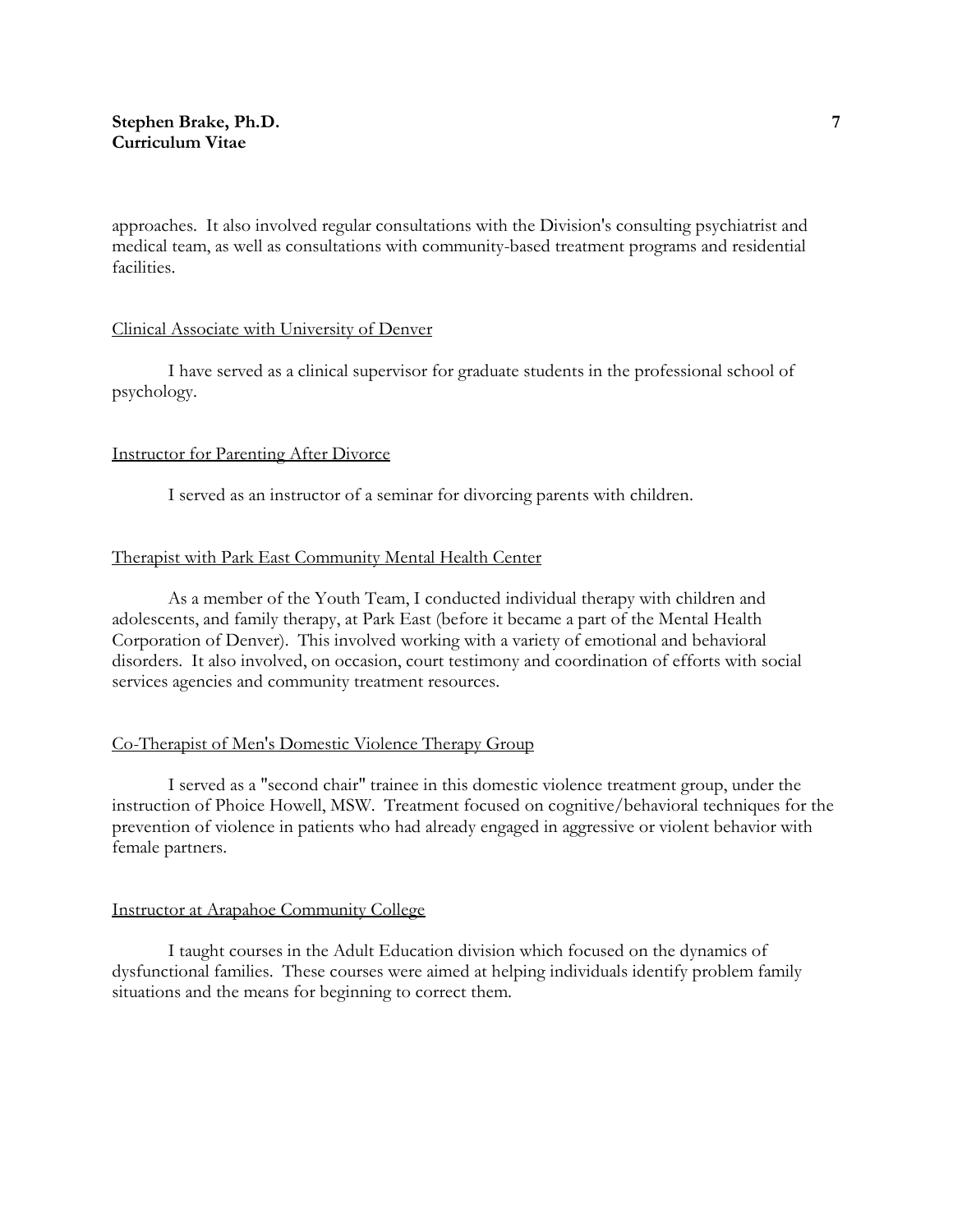approaches. It also involved regular consultations with the Division's consulting psychiatrist and medical team, as well as consultations with community-based treatment programs and residential facilities.

## Clinical Associate with University of Denver

I have served as a clinical supervisor for graduate students in the professional school of psychology.

#### Instructor for Parenting After Divorce

I served as an instructor of a seminar for divorcing parents with children.

## Therapist with Park East Community Mental Health Center

As a member of the Youth Team, I conducted individual therapy with children and adolescents, and family therapy, at Park East (before it became a part of the Mental Health Corporation of Denver). This involved working with a variety of emotional and behavioral disorders. It also involved, on occasion, court testimony and coordination of efforts with social services agencies and community treatment resources.

## Co-Therapist of Men's Domestic Violence Therapy Group

I served as a "second chair" trainee in this domestic violence treatment group, under the instruction of Phoice Howell, MSW. Treatment focused on cognitive/behavioral techniques for the prevention of violence in patients who had already engaged in aggressive or violent behavior with female partners.

## Instructor at Arapahoe Community College

I taught courses in the Adult Education division which focused on the dynamics of dysfunctional families. These courses were aimed at helping individuals identify problem family situations and the means for beginning to correct them.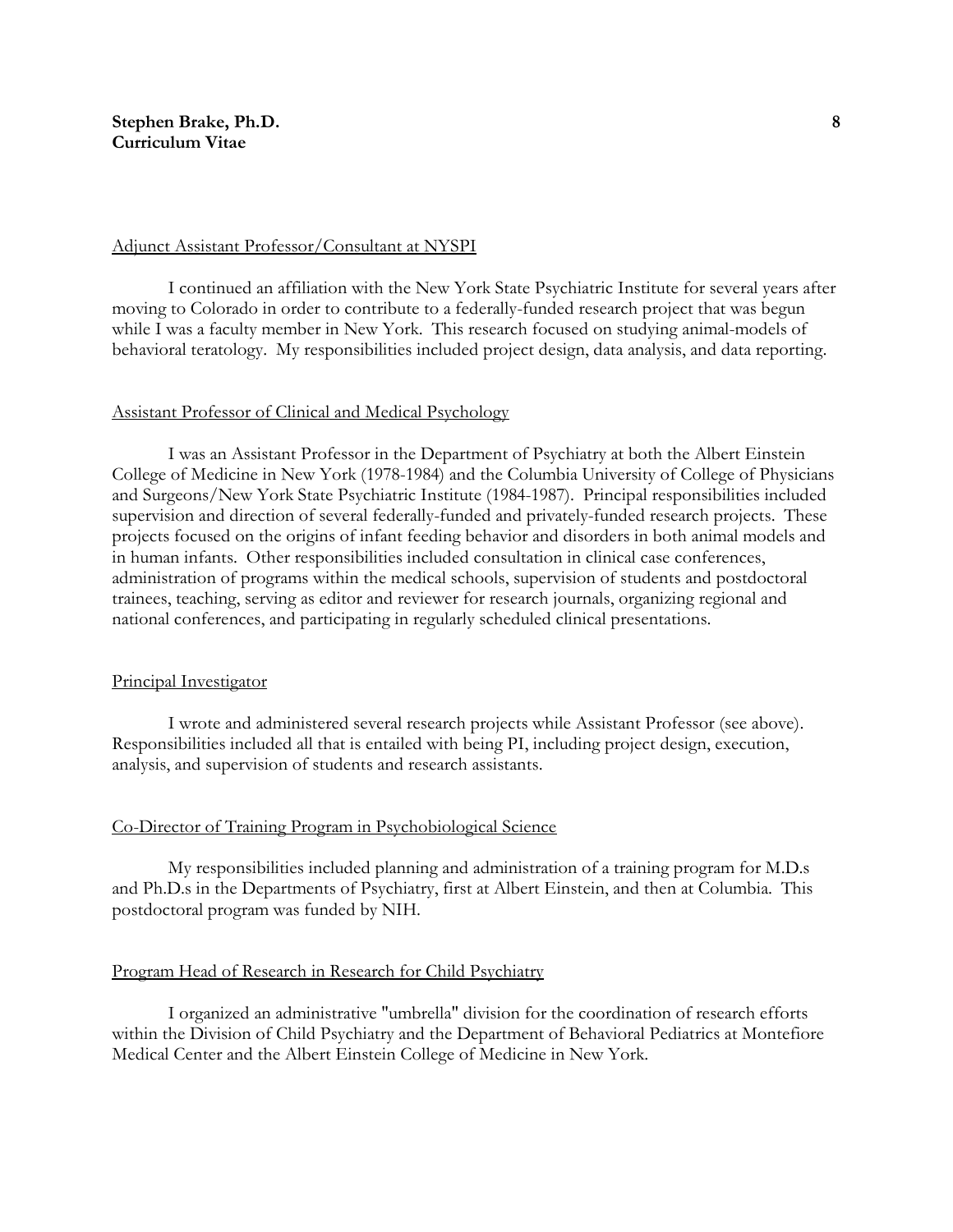#### Adjunct Assistant Professor/Consultant at NYSPI

I continued an affiliation with the New York State Psychiatric Institute for several years after moving to Colorado in order to contribute to a federally-funded research project that was begun while I was a faculty member in New York. This research focused on studying animal-models of behavioral teratology. My responsibilities included project design, data analysis, and data reporting.

#### Assistant Professor of Clinical and Medical Psychology

I was an Assistant Professor in the Department of Psychiatry at both the Albert Einstein College of Medicine in New York (1978-1984) and the Columbia University of College of Physicians and Surgeons/New York State Psychiatric Institute (1984-1987). Principal responsibilities included supervision and direction of several federally-funded and privately-funded research projects. These projects focused on the origins of infant feeding behavior and disorders in both animal models and in human infants. Other responsibilities included consultation in clinical case conferences, administration of programs within the medical schools, supervision of students and postdoctoral trainees, teaching, serving as editor and reviewer for research journals, organizing regional and national conferences, and participating in regularly scheduled clinical presentations.

#### Principal Investigator

I wrote and administered several research projects while Assistant Professor (see above). Responsibilities included all that is entailed with being PI, including project design, execution, analysis, and supervision of students and research assistants.

#### Co-Director of Training Program in Psychobiological Science

My responsibilities included planning and administration of a training program for M.D.s and Ph.D.s in the Departments of Psychiatry, first at Albert Einstein, and then at Columbia. This postdoctoral program was funded by NIH.

#### Program Head of Research in Research for Child Psychiatry

I organized an administrative "umbrella" division for the coordination of research efforts within the Division of Child Psychiatry and the Department of Behavioral Pediatrics at Montefiore Medical Center and the Albert Einstein College of Medicine in New York.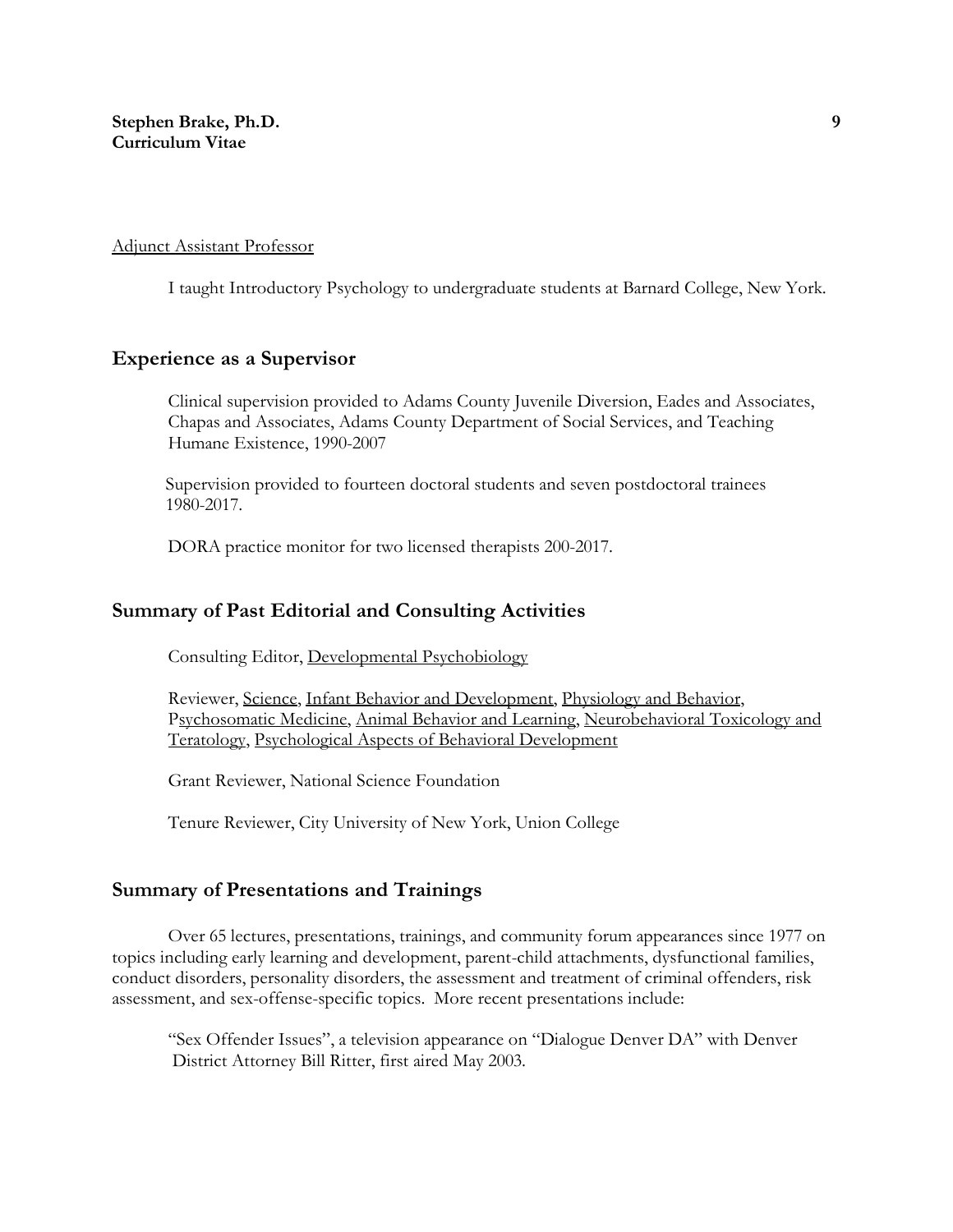#### Adjunct Assistant Professor

I taught Introductory Psychology to undergraduate students at Barnard College, New York.

# **Experience as a Supervisor**

Clinical supervision provided to Adams County Juvenile Diversion, Eades and Associates, Chapas and Associates, Adams County Department of Social Services, and Teaching Humane Existence, 1990-2007

 Supervision provided to fourteen doctoral students and seven postdoctoral trainees 1980-2017.

DORA practice monitor for two licensed therapists 200-2017.

## **Summary of Past Editorial and Consulting Activities**

Consulting Editor, Developmental Psychobiology

Reviewer, Science, Infant Behavior and Development, Physiology and Behavior, Psychosomatic Medicine, Animal Behavior and Learning, Neurobehavioral Toxicology and Teratology, Psychological Aspects of Behavioral Development

Grant Reviewer, National Science Foundation

Tenure Reviewer, City University of New York, Union College

# **Summary of Presentations and Trainings**

Over 65 lectures, presentations, trainings, and community forum appearances since 1977 on topics including early learning and development, parent-child attachments, dysfunctional families, conduct disorders, personality disorders, the assessment and treatment of criminal offenders, risk assessment, and sex-offense-specific topics. More recent presentations include:

"Sex Offender Issues", a television appearance on "Dialogue Denver DA" with Denver District Attorney Bill Ritter, first aired May 2003.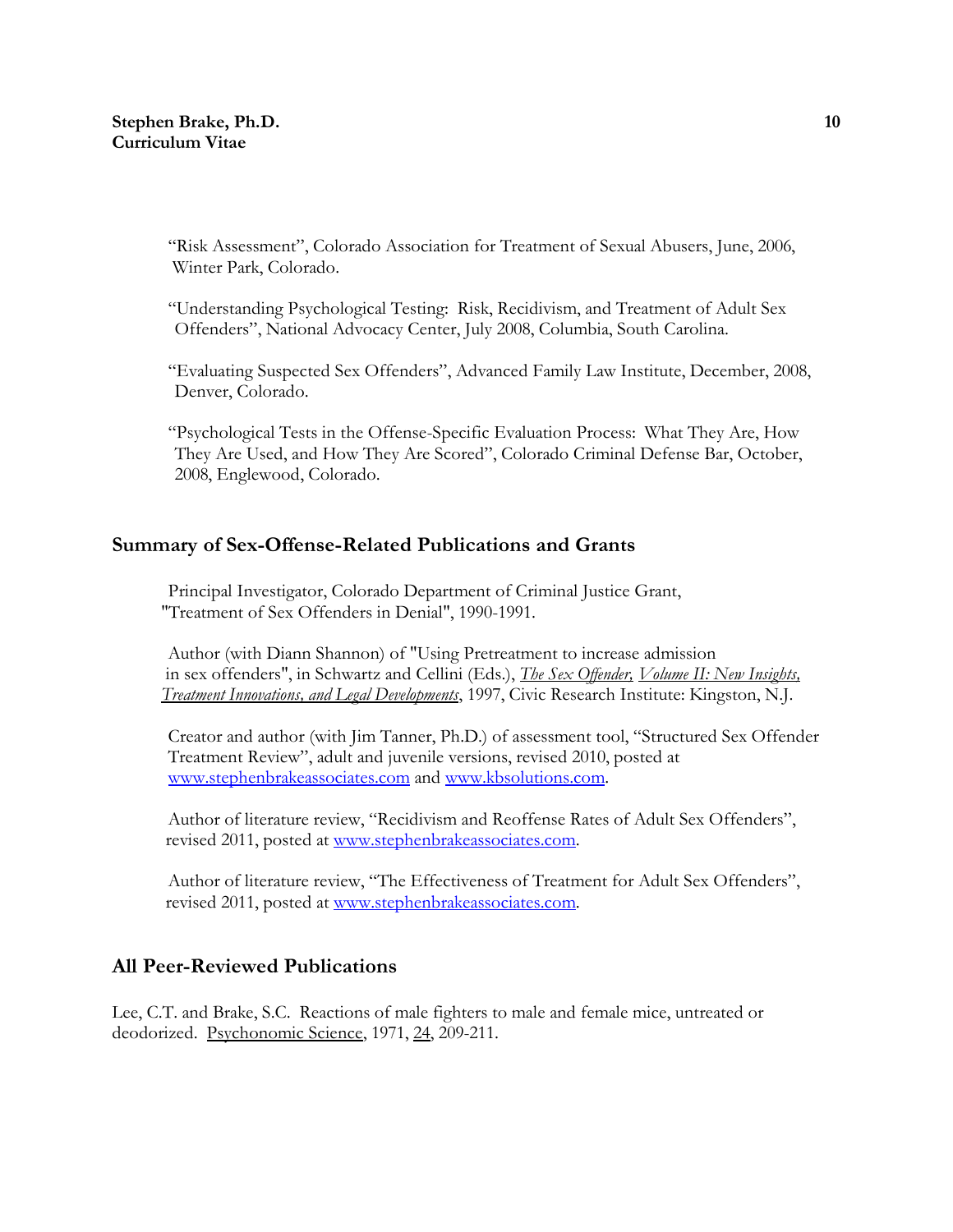"Risk Assessment", Colorado Association for Treatment of Sexual Abusers, June, 2006, Winter Park, Colorado.

"Understanding Psychological Testing: Risk, Recidivism, and Treatment of Adult Sex Offenders", National Advocacy Center, July 2008, Columbia, South Carolina.

"Evaluating Suspected Sex Offenders", Advanced Family Law Institute, December, 2008, Denver, Colorado.

"Psychological Tests in the Offense-Specific Evaluation Process: What They Are, How They Are Used, and How They Are Scored", Colorado Criminal Defense Bar, October, 2008, Englewood, Colorado.

# **Summary of Sex-Offense-Related Publications and Grants**

Principal Investigator, Colorado Department of Criminal Justice Grant, "Treatment of Sex Offenders in Denial", 1990-1991.

Author (with Diann Shannon) of "Using Pretreatment to increase admission in sex offenders", in Schwartz and Cellini (Eds.), *The Sex Offender, Volume II: New Insights, Treatment Innovations, and Legal Developments*, 1997, Civic Research Institute: Kingston, N.J.

Creator and author (with Jim Tanner, Ph.D.) of assessment tool, "Structured Sex Offender Treatment Review", adult and juvenile versions, revised 2010, posted at [www.stephenbrakeassociates.com](http://www.stephenbrakeassociates.com/) and [www.kbsolutions.com.](http://www.kbsolutions.com/)

 Author of literature review, "Recidivism and Reoffense Rates of Adult Sex Offenders", revised 2011, posted at [www.stephenbrakeassociates.com.](http://www.stephenbrakeassociates.com/)

Author of literature review, "The Effectiveness of Treatment for Adult Sex Offenders", revised 2011, posted at [www.stephenbrakeassociates.com.](http://www.stephenbrakeassociates.com/)

# **All Peer-Reviewed Publications**

Lee, C.T. and Brake, S.C. Reactions of male fighters to male and female mice, untreated or deodorized. Psychonomic Science, 1971, 24, 209-211.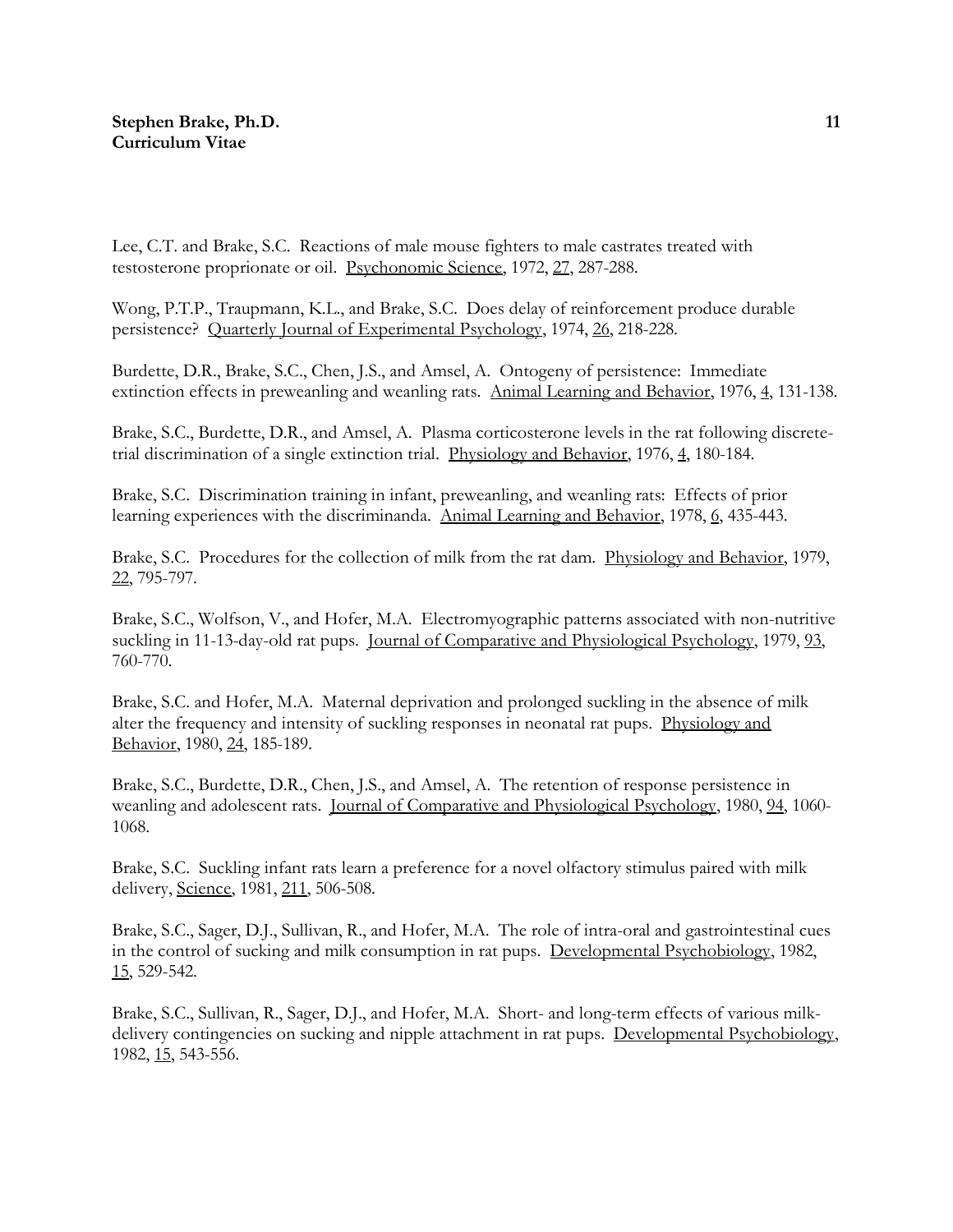Lee, C.T. and Brake, S.C. Reactions of male mouse fighters to male castrates treated with testosterone proprionate or oil. Psychonomic Science, 1972, 27, 287-288.

Wong, P.T.P., Traupmann, K.L., and Brake, S.C. Does delay of reinforcement produce durable persistence? Quarterly Journal of Experimental Psychology, 1974, 26, 218-228.

Burdette, D.R., Brake, S.C., Chen, J.S., and Amsel, A. Ontogeny of persistence: Immediate extinction effects in preweanling and weanling rats. Animal Learning and Behavior, 1976, 4, 131-138.

Brake, S.C., Burdette, D.R., and Amsel, A. Plasma corticosterone levels in the rat following discretetrial discrimination of a single extinction trial. Physiology and Behavior, 1976, 4, 180-184.

Brake, S.C. Discrimination training in infant, preweanling, and weanling rats: Effects of prior learning experiences with the discriminanda. Animal Learning and Behavior, 1978, 6, 435-443.

Brake, S.C. Procedures for the collection of milk from the rat dam. Physiology and Behavior, 1979, 22, 795-797.

Brake, S.C., Wolfson, V., and Hofer, M.A. Electromyographic patterns associated with non-nutritive suckling in 11-13-day-old rat pups. Journal of Comparative and Physiological Psychology, 1979, 93, 760-770.

Brake, S.C. and Hofer, M.A. Maternal deprivation and prolonged suckling in the absence of milk alter the frequency and intensity of suckling responses in neonatal rat pups. Physiology and Behavior, 1980, 24, 185-189.

Brake, S.C., Burdette, D.R., Chen, J.S., and Amsel, A. The retention of response persistence in weanling and adolescent rats. Journal of Comparative and Physiological Psychology, 1980, 94, 1060- 1068.

Brake, S.C. Suckling infant rats learn a preference for a novel olfactory stimulus paired with milk delivery, Science, 1981, 211, 506-508.

Brake, S.C., Sager, D.J., Sullivan, R., and Hofer, M.A. The role of intra-oral and gastrointestinal cues in the control of sucking and milk consumption in rat pups. Developmental Psychobiology, 1982, 15, 529-542.

Brake, S.C., Sullivan, R., Sager, D.J., and Hofer, M.A. Short- and long-term effects of various milkdelivery contingencies on sucking and nipple attachment in rat pups. Developmental Psychobiology, 1982, 15, 543-556.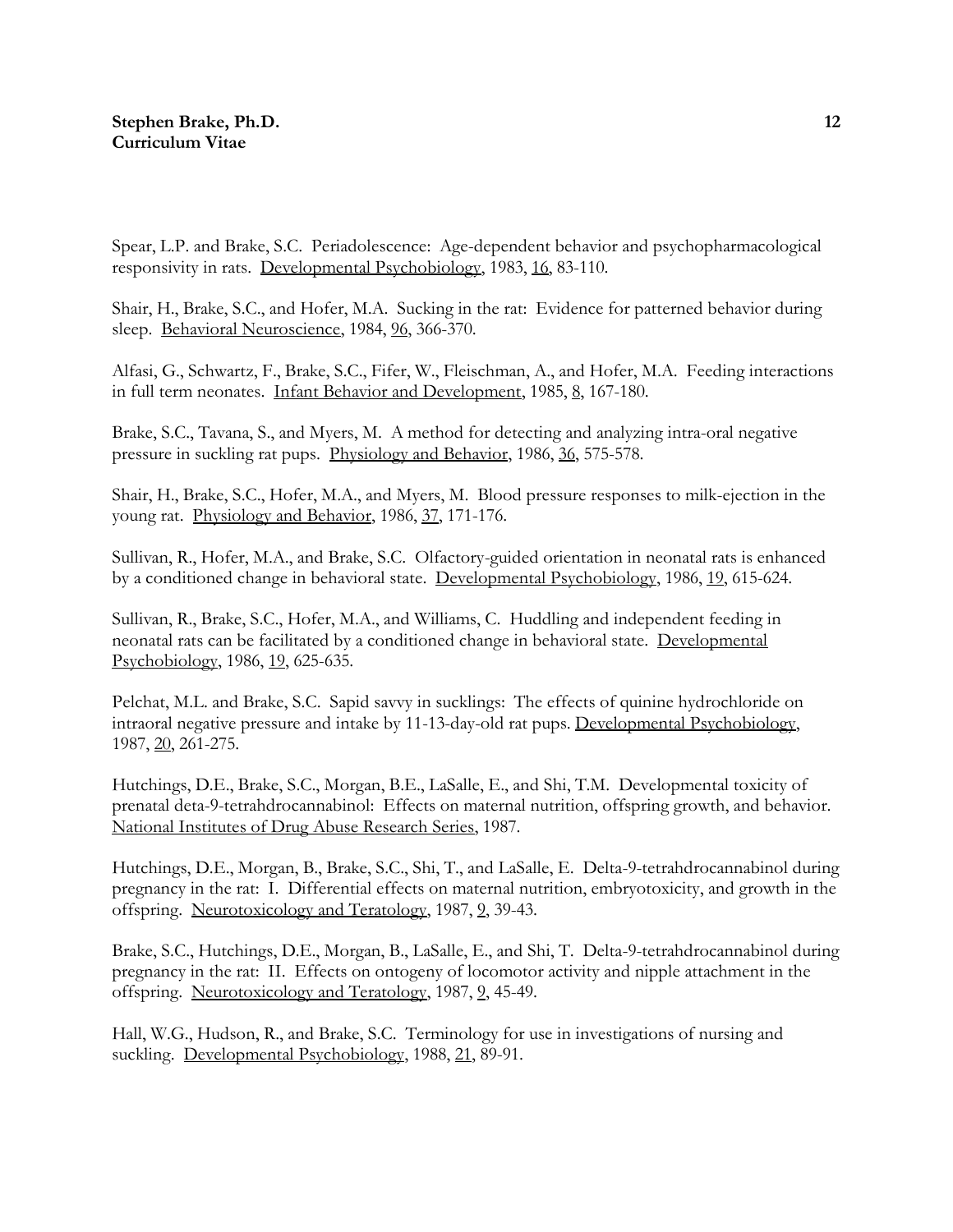Spear, L.P. and Brake, S.C. Periadolescence: Age-dependent behavior and psychopharmacological responsivity in rats. Developmental Psychobiology, 1983, 16, 83-110.

Shair, H., Brake, S.C., and Hofer, M.A. Sucking in the rat: Evidence for patterned behavior during sleep. Behavioral Neuroscience, 1984, 96, 366-370.

Alfasi, G., Schwartz, F., Brake, S.C., Fifer, W., Fleischman, A., and Hofer, M.A. Feeding interactions in full term neonates. Infant Behavior and Development, 1985, 8, 167-180.

Brake, S.C., Tavana, S., and Myers, M. A method for detecting and analyzing intra-oral negative pressure in suckling rat pups. Physiology and Behavior, 1986, 36, 575-578.

Shair, H., Brake, S.C., Hofer, M.A., and Myers, M. Blood pressure responses to milk-ejection in the young rat. Physiology and Behavior, 1986, 37, 171-176.

Sullivan, R., Hofer, M.A., and Brake, S.C. Olfactory-guided orientation in neonatal rats is enhanced by a conditioned change in behavioral state. Developmental Psychobiology, 1986, 19, 615-624.

Sullivan, R., Brake, S.C., Hofer, M.A., and Williams, C. Huddling and independent feeding in neonatal rats can be facilitated by a conditioned change in behavioral state. Developmental Psychobiology, 1986, 19, 625-635.

Pelchat, M.L. and Brake, S.C. Sapid savvy in sucklings: The effects of quinine hydrochloride on intraoral negative pressure and intake by 11-13-day-old rat pups. Developmental Psychobiology, 1987, 20, 261-275.

Hutchings, D.E., Brake, S.C., Morgan, B.E., LaSalle, E., and Shi, T.M. Developmental toxicity of prenatal deta-9-tetrahdrocannabinol: Effects on maternal nutrition, offspring growth, and behavior. National Institutes of Drug Abuse Research Series, 1987.

Hutchings, D.E., Morgan, B., Brake, S.C., Shi, T., and LaSalle, E. Delta-9-tetrahdrocannabinol during pregnancy in the rat: I. Differential effects on maternal nutrition, embryotoxicity, and growth in the offspring. Neurotoxicology and Teratology, 1987, 9, 39-43.

Brake, S.C., Hutchings, D.E., Morgan, B., LaSalle, E., and Shi, T. Delta-9-tetrahdrocannabinol during pregnancy in the rat: II. Effects on ontogeny of locomotor activity and nipple attachment in the offspring. Neurotoxicology and Teratology, 1987, 9, 45-49.

Hall, W.G., Hudson, R., and Brake, S.C. Terminology for use in investigations of nursing and suckling. Developmental Psychobiology, 1988, 21, 89-91.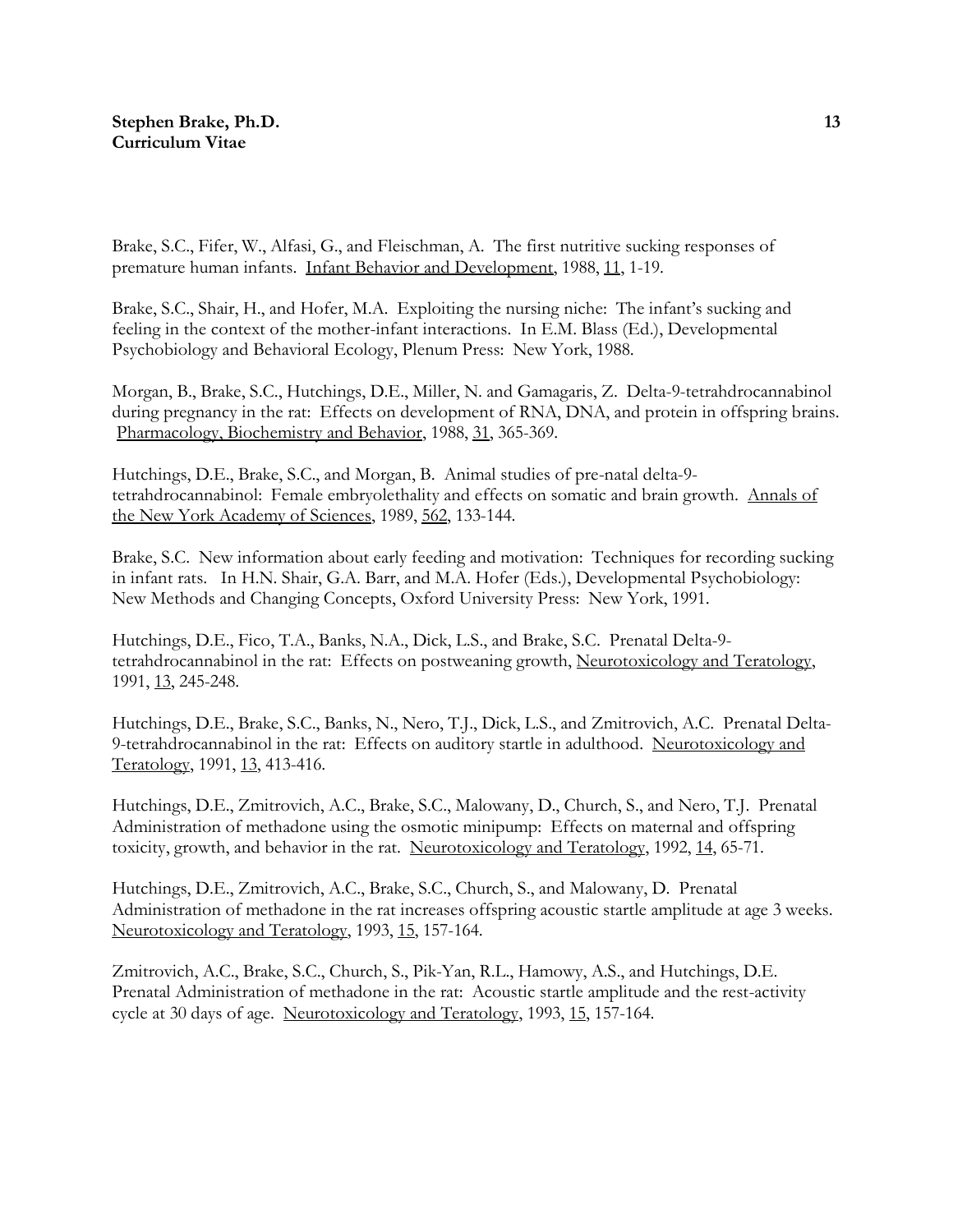Brake, S.C., Fifer, W., Alfasi, G., and Fleischman, A. The first nutritive sucking responses of premature human infants. Infant Behavior and Development, 1988, 11, 1-19.

Brake, S.C., Shair, H., and Hofer, M.A. Exploiting the nursing niche: The infant's sucking and feeling in the context of the mother-infant interactions. In E.M. Blass (Ed.), Developmental Psychobiology and Behavioral Ecology, Plenum Press: New York, 1988.

Morgan, B., Brake, S.C., Hutchings, D.E., Miller, N. and Gamagaris, Z. Delta-9-tetrahdrocannabinol during pregnancy in the rat: Effects on development of RNA, DNA, and protein in offspring brains. Pharmacology, Biochemistry and Behavior, 1988, 31, 365-369.

Hutchings, D.E., Brake, S.C., and Morgan, B. Animal studies of pre-natal delta-9 tetrahdrocannabinol: Female embryolethality and effects on somatic and brain growth. Annals of the New York Academy of Sciences, 1989, 562, 133-144.

Brake, S.C. New information about early feeding and motivation: Techniques for recording sucking in infant rats. In H.N. Shair, G.A. Barr, and M.A. Hofer (Eds.), Developmental Psychobiology: New Methods and Changing Concepts, Oxford University Press: New York, 1991.

Hutchings, D.E., Fico, T.A., Banks, N.A., Dick, L.S., and Brake, S.C. Prenatal Delta-9 tetrahdrocannabinol in the rat: Effects on postweaning growth, Neurotoxicology and Teratology, 1991, 13, 245-248.

Hutchings, D.E., Brake, S.C., Banks, N., Nero, T.J., Dick, L.S., and Zmitrovich, A.C. Prenatal Delta-9-tetrahdrocannabinol in the rat: Effects on auditory startle in adulthood. Neurotoxicology and Teratology, 1991, 13, 413-416.

Hutchings, D.E., Zmitrovich, A.C., Brake, S.C., Malowany, D., Church, S., and Nero, T.J. Prenatal Administration of methadone using the osmotic minipump: Effects on maternal and offspring toxicity, growth, and behavior in the rat. Neurotoxicology and Teratology, 1992, 14, 65-71.

Hutchings, D.E., Zmitrovich, A.C., Brake, S.C., Church, S., and Malowany, D. Prenatal Administration of methadone in the rat increases offspring acoustic startle amplitude at age 3 weeks. Neurotoxicology and Teratology, 1993, 15, 157-164.

Zmitrovich, A.C., Brake, S.C., Church, S., Pik-Yan, R.L., Hamowy, A.S., and Hutchings, D.E. Prenatal Administration of methadone in the rat: Acoustic startle amplitude and the rest-activity cycle at 30 days of age. Neurotoxicology and Teratology, 1993, 15, 157-164.